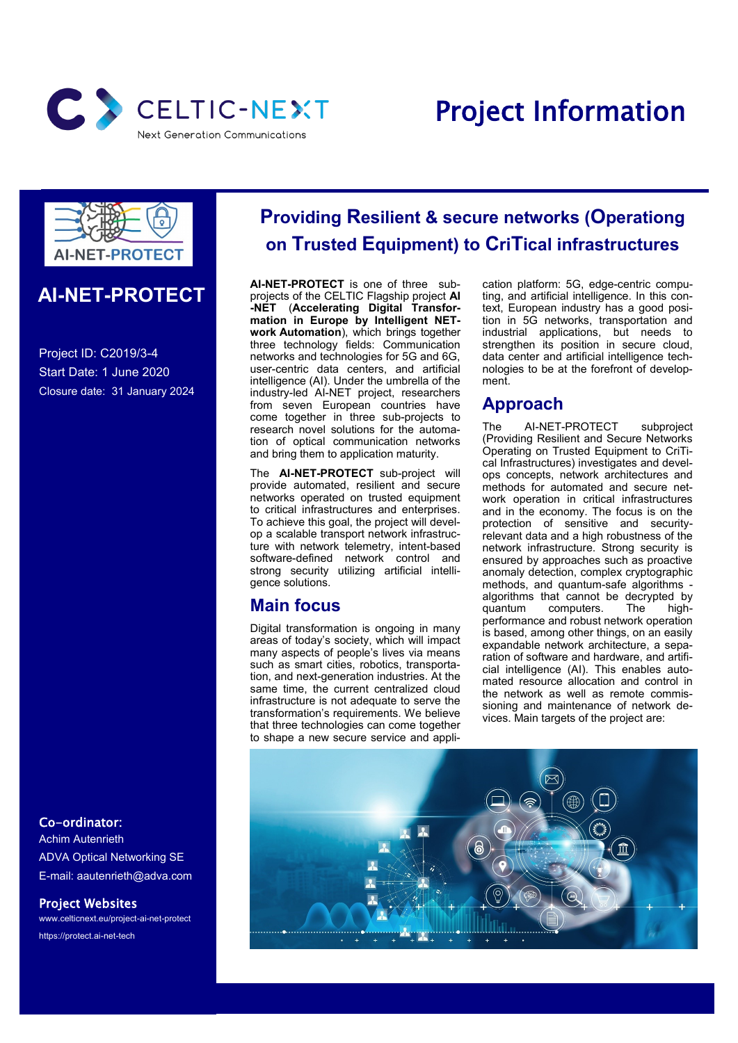

# Project Information



### **AI-NET-PROTECT**

Project ID: C2019/3-4 Start Date: 1 June 2020 Closure date: 31 January 2024

Co-ordinator:

Achim Autenrieth ADVA Optical Networking SE E-mail: aautenrieth@adva.com

Project Websites

www.celticnext.eu/project-ai-net-protect https://protect.ai-net-tech

## **Providing Resilient & secure networks (Operationg on Trusted Equipment) to CriTical infrastructures**

**AI-NET-PROTECT** is one of three subprojects of the CELTIC Flagship project **AI -NET** (**Accelerating Digital Transformation in Europe by Intelligent NETwork Automation**), which brings together three technology fields: Communication networks and technologies for 5G and 6G, user-centric data centers, and artificial intelligence (AI). Under the umbrella of the industry-led AI-NET project, researchers from seven European countries have come together in three sub-projects to research novel solutions for the automation of optical communication networks and bring them to application maturity.

The **AI-NET-PROTECT** sub-project will provide automated, resilient and secure networks operated on trusted equipment to critical infrastructures and enterprises. To achieve this goal, the project will develop a scalable transport network infrastructure with network telemetry, intent-based software-defined network control and strong security utilizing artificial intelligence solutions.

## **Main focus**

Digital transformation is ongoing in many areas of today's society, which will impact many aspects of people's lives via means such as smart cities, robotics, transportation, and next-generation industries. At the same time, the current centralized cloud infrastructure is not adequate to serve the transformation's requirements. We believe that three technologies can come together to shape a new secure service and application platform: 5G, edge-centric computing, and artificial intelligence. In this context, European industry has a good position in 5G networks, transportation and industrial applications, but needs to strengthen its position in secure cloud. data center and artificial intelligence technologies to be at the forefront of development.

## **Approach**

The AI-NET-PROTECT subproject (Providing Resilient and Secure Networks Operating on Trusted Equipment to CriTical Infrastructures) investigates and develops concepts, network architectures and methods for automated and secure network operation in critical infrastructures and in the economy. The focus is on the protection of sensitive and securityrelevant data and a high robustness of the network infrastructure. Strong security is ensured by approaches such as proactive anomaly detection, complex cryptographic methods, and quantum-safe algorithms algorithms that cannot be decrypted by quantum computers. The highperformance and robust network operation is based, among other things, on an easily expandable network architecture, a separation of software and hardware, and artificial intelligence (AI). This enables automated resource allocation and control in the network as well as remote commissioning and maintenance of network devices. Main targets of the project are: